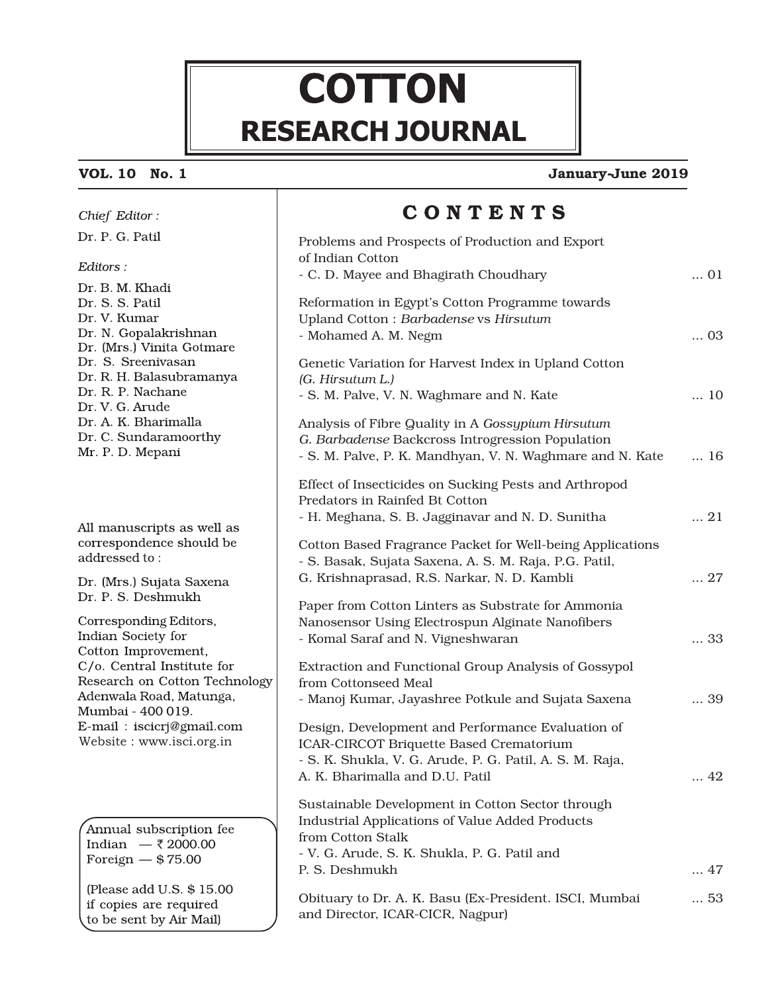# **COTTON RESEARCH JOURNAL**

### **VOL. 10 No. 1**

Chief Editor: Dr. P. G. Patil

#### **January June 2019 -**

## CONTENTS

| Dr. P. G. Patil                                    | Problems and Prospects of Production and Export                                                      |             |  |
|----------------------------------------------------|------------------------------------------------------------------------------------------------------|-------------|--|
| Editors:                                           | of Indian Cotton                                                                                     |             |  |
| Dr. B. M. Khadi                                    | - C. D. Mayee and Bhagirath Choudhary                                                                | $\ldots$ 01 |  |
| Dr. S. S. Patil                                    | Reformation in Egypt's Cotton Programme towards                                                      |             |  |
| Dr. V. Kumar                                       | Upland Cotton: Barbadense vs Hirsutum                                                                |             |  |
| Dr. N. Gopalakrishnan<br>Dr. (Mrs.) Vinita Gotmare | - Mohamed A. M. Negm                                                                                 | $\ldots$ 03 |  |
| Dr. S. Sreenivasan                                 | Genetic Variation for Harvest Index in Upland Cotton                                                 |             |  |
| Dr. R. H. Balasubramanya                           | (G. Hirsutum L.)                                                                                     |             |  |
| Dr. R. P. Nachane                                  | - S. M. Palve, V. N. Waghmare and N. Kate                                                            | 10          |  |
| Dr. V. G. Arude<br>Dr. A. K. Bharimalla            | Analysis of Fibre Quality in A Gossypium Hirsutum                                                    |             |  |
| Dr. C. Sundaramoorthy                              | G. Barbadense Backcross Introgression Population                                                     |             |  |
| Mr. P. D. Mepani                                   | - S. M. Palve, P. K. Mandhyan, V. N. Waghmare and N. Kate                                            | $\ldots$ 16 |  |
|                                                    |                                                                                                      |             |  |
|                                                    | Effect of Insecticides on Sucking Pests and Arthropod<br>Predators in Rainfed Bt Cotton              |             |  |
|                                                    | - H. Meghana, S. B. Jagginavar and N. D. Sunitha                                                     | $\ldots$ 21 |  |
| All manuscripts as well as                         |                                                                                                      |             |  |
| correspondence should be<br>addressed to:          | Cotton Based Fragrance Packet for Well-being Applications                                            |             |  |
|                                                    | - S. Basak, Sujata Saxena, A. S. M. Raja, P.G. Patil,<br>G. Krishnaprasad, R.S. Narkar, N. D. Kambli | $\ldots$ 27 |  |
| Dr. (Mrs.) Sujata Saxena<br>Dr. P. S. Deshmukh     |                                                                                                      |             |  |
|                                                    | Paper from Cotton Linters as Substrate for Ammonia                                                   |             |  |
| Corresponding Editors,<br>Indian Society for       | Nanosensor Using Electrospun Alginate Nanofibers                                                     |             |  |
| Cotton Improvement,                                | - Komal Saraf and N. Vigneshwaran                                                                    | 33          |  |
| C/o. Central Institute for                         | Extraction and Functional Group Analysis of Gossypol                                                 |             |  |
| Research on Cotton Technology                      | from Cottonseed Meal                                                                                 |             |  |
| Adenwala Road, Matunga,<br>Mumbai - 400 019.       | - Manoj Kumar, Jayashree Potkule and Sujata Saxena                                                   | 39          |  |
| E-mail: iscicrj@gmail.com                          | Design, Development and Performance Evaluation of                                                    |             |  |
| Website: www.isci.org.in                           | ICAR-CIRCOT Briquette Based Crematorium                                                              |             |  |
|                                                    | - S. K. Shukla, V. G. Arude, P. G. Patil, A. S. M. Raja,                                             |             |  |
|                                                    | A. K. Bharimalla and D.U. Patil                                                                      | $\ldots$ 42 |  |
|                                                    | Sustainable Development in Cotton Sector through                                                     |             |  |
| Annual subscription fee                            | <b>Industrial Applications of Value Added Products</b>                                               |             |  |
| Indian — ₹ 2000.00                                 | from Cotton Stalk                                                                                    |             |  |
| Foreign $-$ \$75.00                                | - V. G. Arude, S. K. Shukla, P. G. Patil and<br>P. S. Deshmukh                                       | $\ldots$ 47 |  |
| (Please add U.S. \$15.00)                          |                                                                                                      |             |  |
| if copies are required                             | Obituary to Dr. A. K. Basu (Ex-President. ISCI, Mumbai                                               | 53          |  |
| to be sent by Air Mail)                            | and Director, ICAR-CICR, Nagpur)                                                                     |             |  |